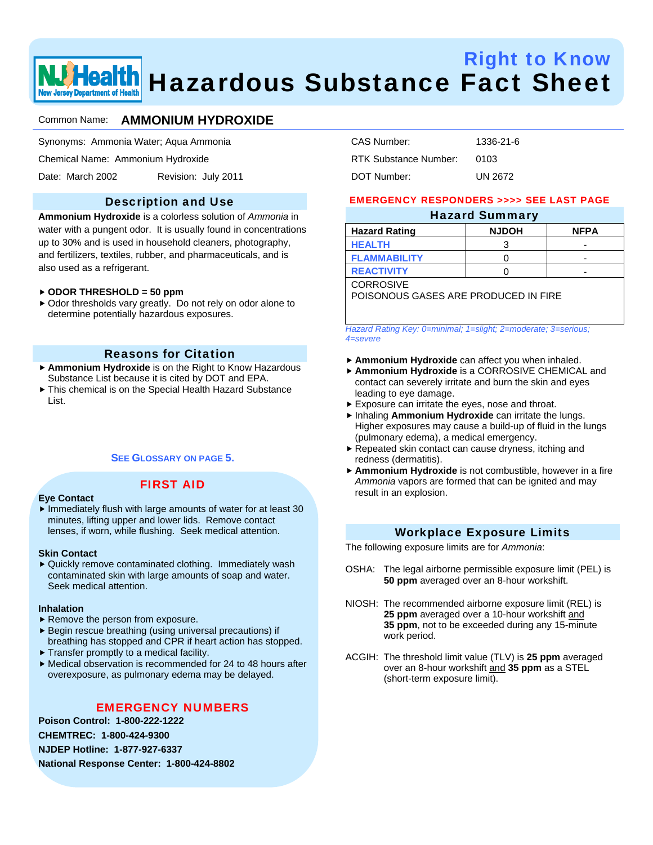

# Right to Know **ealth** Hazardous Substance Fact Sheet

# Common Name: **AMMONIUM HYDROXIDE**

Synonyms: Ammonia Water; Aqua Ammonia

Chemical Name: Ammonium Hydroxide

Date: March 2002 Revision: July 2011

# Description and Use

**Ammonium Hydroxide** is a colorless solution of *Ammonia* in water with a pungent odor. It is usually found in concentrations up to 30% and is used in household cleaners, photography, and fertilizers, textiles, rubber, and pharmaceuticals, and is also used as a refrigerant.

#### f **ODOR THRESHOLD = 50 ppm**

 $\triangleright$  Odor thresholds vary greatly. Do not rely on odor alone to determine potentially hazardous exposures.

# Reasons for Citation

- **Ammonium Hydroxide** is on the Right to Know Hazardous Substance List because it is cited by DOT and EPA.
- $\triangleright$  This chemical is on the Special Health Hazard Substance List.

#### **SEE GLOSSARY ON PAGE 5.**

# FIRST AID

#### **Eye Contact**

 $\blacktriangleright$  Immediately flush with large amounts of water for at least 30 minutes, lifting upper and lower lids. Remove contact lenses, if worn, while flushing. Seek medical attention.

#### **Skin Contact**

 $\blacktriangleright$  Quickly remove contaminated clothing. Immediately wash contaminated skin with large amounts of soap and water. Seek medical attention.

#### **Inhalation**

- $\blacktriangleright$  Remove the person from exposure.
- $\blacktriangleright$  Begin rescue breathing (using universal precautions) if breathing has stopped and CPR if heart action has stopped.
- $\blacktriangleright$  Transfer promptly to a medical facility.
- $\blacktriangleright$  Medical observation is recommended for 24 to 48 hours after overexposure, as pulmonary edema may be delayed.

# EMERGENCY NUMBERS

**Poison Control: 1-800-222-1222 CHEMTREC: 1-800-424-9300 NJDEP Hotline: 1-877-927-6337 National Response Center: 1-800-424-8802** 

| CAS Number:           | 1336-21-6 |
|-----------------------|-----------|
| RTK Substance Number: | 0103      |
| DOT Number:           | UN 2672   |

#### EMERGENCY RESPONDERS >>>> SEE LAST PAGE

#### Hazard Summary

| --           |             |  |  |  |  |
|--------------|-------------|--|--|--|--|
| <b>NJDOH</b> | <b>NFPA</b> |  |  |  |  |
|              | -           |  |  |  |  |
|              | -           |  |  |  |  |
|              | -           |  |  |  |  |
|              |             |  |  |  |  |

**CORROSIVE** 

POISONOUS GASES ARE PRODUCED IN FIRE

*Hazard Rating Key: 0=minimal; 1=slight; 2=moderate; 3=serious; 4=severe*

- **Ammonium Hydroxide** can affect you when inhaled.
- **Ammonium Hydroxide** is a CORROSIVE CHEMICAL and contact can severely irritate and burn the skin and eyes leading to eye damage.
- $\blacktriangleright$  Exposure can irritate the eyes, nose and throat.
- **hinaling Ammonium Hydroxide** can irritate the lungs. Higher exposures may cause a build-up of fluid in the lungs (pulmonary edema), a medical emergency.
- $\blacktriangleright$  Repeated skin contact can cause dryness, itching and redness (dermatitis).
- **Ammonium Hydroxide** is not combustible, however in a fire *Ammonia* vapors are formed that can be ignited and may result in an explosion.

#### Workplace Exposure Limits

The following exposure limits are for *Ammonia*:

- OSHA: The legal airborne permissible exposure limit (PEL) is **50 ppm** averaged over an 8-hour workshift.
- NIOSH: The recommended airborne exposure limit (REL) is **25 ppm** averaged over a 10-hour workshift and **35 ppm**, not to be exceeded during any 15-minute work period.
- ACGIH: The threshold limit value (TLV) is **25 ppm** averaged over an 8-hour workshift and **35 ppm** as a STEL (short-term exposure limit).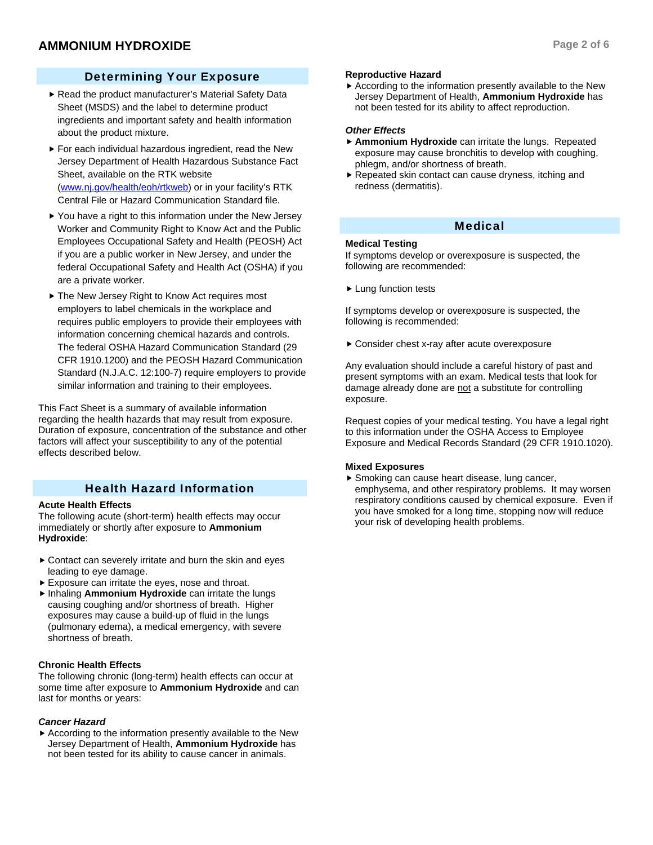# Determining Your Exposure

- Read the product manufacturer's Material Safety Data Sheet (MSDS) and the label to determine product ingredients and important safety and health information about the product mixture.
- $\blacktriangleright$  For each individual hazardous ingredient, read the New Jersey Department of Health Hazardous Substance Fact Sheet, available on the RTK website (www.nj.gov/health/eoh/rtkweb) or in your facility's RTK Central File or Hazard Communication Standard file.
- $\blacktriangleright$  You have a right to this information under the New Jersey Worker and Community Right to Know Act and the Public Employees Occupational Safety and Health (PEOSH) Act if you are a public worker in New Jersey, and under the federal Occupational Safety and Health Act (OSHA) if you are a private worker.
- ▶ The New Jersey Right to Know Act requires most employers to label chemicals in the workplace and requires public employers to provide their employees with information concerning chemical hazards and controls. The federal OSHA Hazard Communication Standard (29 CFR 1910.1200) and the PEOSH Hazard Communication Standard (N.J.A.C. 12:100-7) require employers to provide similar information and training to their employees.

This Fact Sheet is a summary of available information regarding the health hazards that may result from exposure. Duration of exposure, concentration of the substance and other factors will affect your susceptibility to any of the potential effects described below.

# Health Hazard Information

# **Acute Health Effects**

The following acute (short-term) health effects may occur immediately or shortly after exposure to **Ammonium Hydroxide**:

- $\triangleright$  Contact can severely irritate and burn the skin and eyes leading to eye damage.
- $\blacktriangleright$  Exposure can irritate the eyes, nose and throat.
- **F** Inhaling Ammonium Hydroxide can irritate the lungs causing coughing and/or shortness of breath. Higher exposures may cause a build-up of fluid in the lungs (pulmonary edema), a medical emergency, with severe shortness of breath.

# **Chronic Health Effects**

The following chronic (long-term) health effects can occur at some time after exposure to **Ammonium Hydroxide** and can last for months or years:

# *Cancer Hazard*

 $\blacktriangleright$  According to the information presently available to the New Jersey Department of Health, **Ammonium Hydroxide** has not been tested for its ability to cause cancer in animals.

# **Reproductive Hazard**

 $\blacktriangleright$  According to the information presently available to the New Jersey Department of Health, **Ammonium Hydroxide** has not been tested for its ability to affect reproduction.

# *Other Effects*

- **Ammonium Hydroxide** can irritate the lungs. Repeated exposure may cause bronchitis to develop with coughing, phlegm, and/or shortness of breath.
- $\blacktriangleright$  Repeated skin contact can cause dryness, itching and redness (dermatitis).

#### Medical

#### **Medical Testing**

If symptoms develop or overexposure is suspected, the following are recommended:

 $\blacktriangleright$  Lung function tests

If symptoms develop or overexposure is suspected, the following is recommended:

 $\triangleright$  Consider chest x-ray after acute overexposure

Any evaluation should include a careful history of past and present symptoms with an exam. Medical tests that look for damage already done are not a substitute for controlling exposure.

Request copies of your medical testing. You have a legal right to this information under the OSHA Access to Employee Exposure and Medical Records Standard (29 CFR 1910.1020).

#### **Mixed Exposures**

 $\blacktriangleright$  Smoking can cause heart disease, lung cancer, emphysema, and other respiratory problems. It may worsen respiratory conditions caused by chemical exposure. Even if you have smoked for a long time, stopping now will reduce your risk of developing health problems.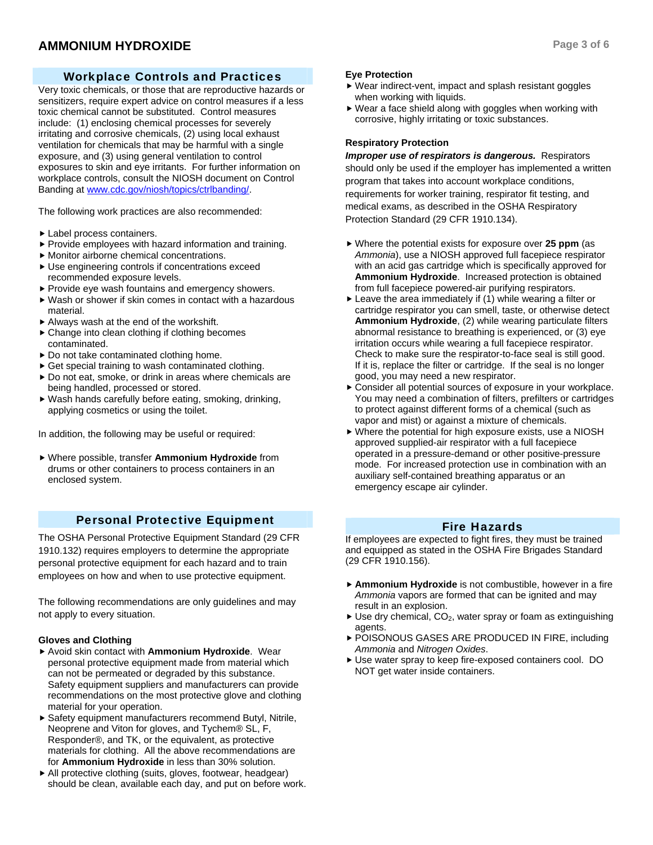# Workplace Controls and Practices

Very toxic chemicals, or those that are reproductive hazards or sensitizers, require expert advice on control measures if a less toxic chemical cannot be substituted. Control measures include: (1) enclosing chemical processes for severely irritating and corrosive chemicals, (2) using local exhaust ventilation for chemicals that may be harmful with a single exposure, and (3) using general ventilation to control exposures to skin and eye irritants. For further information on workplace controls, consult the NIOSH document on Control Banding at www.cdc.gov/niosh/topics/ctrlbanding/.

The following work practices are also recommended:

- $\blacktriangleright$  Label process containers.
- $\blacktriangleright$  Provide employees with hazard information and training.
- $\blacktriangleright$  Monitor airborne chemical concentrations.
- $\blacktriangleright$  Use engineering controls if concentrations exceed recommended exposure levels.
- $\blacktriangleright$  Provide eye wash fountains and emergency showers.
- $\blacktriangleright$  Wash or shower if skin comes in contact with a hazardous material.
- $\blacktriangleright$  Always wash at the end of the workshift.
- $\triangleright$  Change into clean clothing if clothing becomes contaminated.
- $\triangleright$  Do not take contaminated clothing home.
- $\triangleright$  Get special training to wash contaminated clothing.
- $\triangleright$  Do not eat, smoke, or drink in areas where chemicals are being handled, processed or stored.
- $\blacktriangleright$  Wash hands carefully before eating, smoking, drinking, applying cosmetics or using the toilet.

In addition, the following may be useful or required:

 $\triangleright$  Where possible, transfer Ammonium Hydroxide from drums or other containers to process containers in an enclosed system.

# Personal Protective Equipment

The OSHA Personal Protective Equipment Standard (29 CFR 1910.132) requires employers to determine the appropriate personal protective equipment for each hazard and to train employees on how and when to use protective equipment.

The following recommendations are only guidelines and may not apply to every situation.

#### **Gloves and Clothing**

- ▶ Avoid skin contact with **Ammonium Hydroxide**. Wear personal protective equipment made from material which can not be permeated or degraded by this substance. Safety equipment suppliers and manufacturers can provide recommendations on the most protective glove and clothing material for your operation.
- $\triangleright$  Safety equipment manufacturers recommend Butyl, Nitrile, Neoprene and Viton for gloves, and Tychem® SL, F, Responder®, and TK, or the equivalent, as protective materials for clothing. All the above recommendations are for **Ammonium Hydroxide** in less than 30% solution.
- $\blacktriangleright$  All protective clothing (suits, gloves, footwear, headgear) should be clean, available each day, and put on before work.

#### **Eye Protection**

- $\blacktriangleright$  Wear indirect-vent, impact and splash resistant goggles when working with liquids.
- $\blacktriangleright$  Wear a face shield along with goggles when working with corrosive, highly irritating or toxic substances.

#### **Respiratory Protection**

*Improper use of respirators is dangerous.* Respirators should only be used if the employer has implemented a written program that takes into account workplace conditions, requirements for worker training, respirator fit testing, and medical exams, as described in the OSHA Respiratory Protection Standard (29 CFR 1910.134).

- Where the potential exists for exposure over 25 ppm (as *Ammonia*), use a NIOSH approved full facepiece respirator with an acid gas cartridge which is specifically approved for **Ammonium Hydroxide**. Increased protection is obtained from full facepiece powered-air purifying respirators.
- $\blacktriangleright$  Leave the area immediately if (1) while wearing a filter or cartridge respirator you can smell, taste, or otherwise detect **Ammonium Hydroxide**, (2) while wearing particulate filters abnormal resistance to breathing is experienced, or (3) eye irritation occurs while wearing a full facepiece respirator. Check to make sure the respirator-to-face seal is still good. If it is, replace the filter or cartridge. If the seal is no longer good, you may need a new respirator.
- $\triangleright$  Consider all potential sources of exposure in your workplace. You may need a combination of filters, prefilters or cartridges to protect against different forms of a chemical (such as vapor and mist) or against a mixture of chemicals.
- $\blacktriangleright$  Where the potential for high exposure exists, use a NIOSH approved supplied-air respirator with a full facepiece operated in a pressure-demand or other positive-pressure mode. For increased protection use in combination with an auxiliary self-contained breathing apparatus or an emergency escape air cylinder.

#### Fire Hazards

If employees are expected to fight fires, they must be trained and equipped as stated in the OSHA Fire Brigades Standard (29 CFR 1910.156).

- **Ammonium Hydroxide** is not combustible, however in a fire *Ammonia* vapors are formed that can be ignited and may result in an explosion.
- $\triangleright$  Use dry chemical, CO<sub>2</sub>, water spray or foam as extinguishing agents.
- ▶ POISONOUS GASES ARE PRODUCED IN FIRE, including *Ammonia* and *Nitrogen Oxides*.
- ▶ Use water spray to keep fire-exposed containers cool. DO NOT get water inside containers.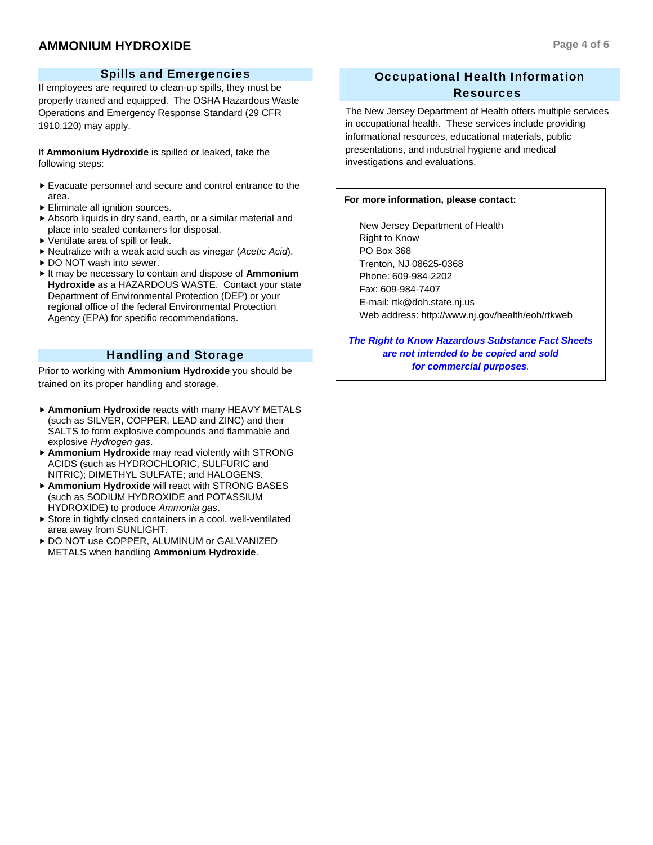# **AMMONIUM HYDROXIDE Page 4 of 6**

If employees are required to clean-up spills, they must be properly trained and equipped. The OSHA Hazardous Waste Operations and Emergency Response Standard (29 CFR 1910.120) may apply.

If **Ammonium Hydroxide** is spilled or leaked, take the following steps:

- $\blacktriangleright$  Evacuate personnel and secure and control entrance to the area.
- $\blacktriangleright$  Eliminate all ignition sources.
- $\blacktriangleright$  Absorb liquids in dry sand, earth, or a similar material and place into sealed containers for disposal.
- $\blacktriangleright$  Ventilate area of spill or leak.
- f Neutralize with a weak acid such as vinegar (*Acetic Acid*).
- ▶ DO NOT wash into sewer.
- $\blacktriangleright$  It may be necessary to contain and dispose of **Ammonium Hydroxide** as a HAZARDOUS WASTE. Contact your state Department of Environmental Protection (DEP) or your regional office of the federal Environmental Protection Agency (EPA) for specific recommendations.

# Handling and Storage

Prior to working with **Ammonium Hydroxide** you should be trained on its proper handling and storage.

- **Ammonium Hydroxide** reacts with many HEAVY METALS (such as SILVER, COPPER, LEAD and ZINC) and their SALTS to form explosive compounds and flammable and explosive *Hydrogen gas*.
- **Ammonium Hydroxide** may read violently with STRONG ACIDS (such as HYDROCHLORIC, SULFURIC and NITRIC); DIMETHYL SULFATE; and HALOGENS.
- **Ammonium Hydroxide** will react with STRONG BASES (such as SODIUM HYDROXIDE and POTASSIUM HYDROXIDE) to produce *Ammonia gas*.
- $\triangleright$  Store in tightly closed containers in a cool, well-ventilated area away from SUNLIGHT.
- $\triangleright$  DO NOT use COPPER, ALUMINUM or GALVANIZED METALS when handling **Ammonium Hydroxide**.

# Occupational Health Information Resources

The New Jersey Department of Health offers multiple services in occupational health. These services include providing informational resources, educational materials, public presentations, and industrial hygiene and medical investigations and evaluations.

#### **For more information, please contact:**

 New Jersey Department of Health Right to Know PO Box 368 Trenton, NJ 08625-0368 Phone: 609-984-2202 Fax: 609-984-7407 E-mail: rtk@doh.state.nj.us Web address: http://www.nj.gov/health/eoh/rtkweb

*The Right to Know Hazardous Substance Fact Sheets are not intended to be copied and sold for commercial purposes.*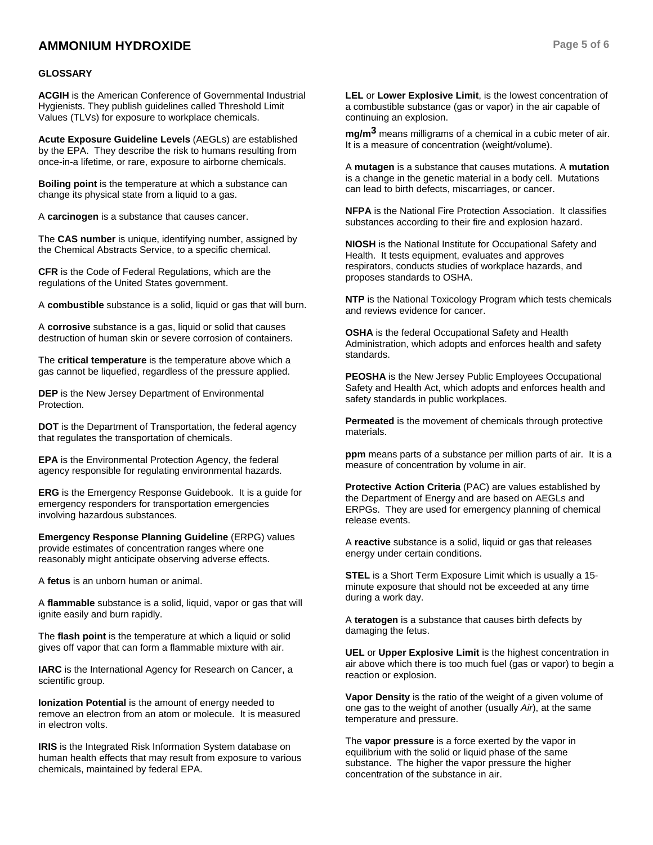# **AMMONIUM HYDROXIDE Page 5 of 6**

#### **GLOSSARY**

**ACGIH** is the American Conference of Governmental Industrial Hygienists. They publish guidelines called Threshold Limit Values (TLVs) for exposure to workplace chemicals.

**Acute Exposure Guideline Levels** (AEGLs) are established by the EPA. They describe the risk to humans resulting from once-in-a lifetime, or rare, exposure to airborne chemicals.

**Boiling point** is the temperature at which a substance can change its physical state from a liquid to a gas.

A **carcinogen** is a substance that causes cancer.

The **CAS number** is unique, identifying number, assigned by the Chemical Abstracts Service, to a specific chemical.

**CFR** is the Code of Federal Regulations, which are the regulations of the United States government.

A **combustible** substance is a solid, liquid or gas that will burn.

A **corrosive** substance is a gas, liquid or solid that causes destruction of human skin or severe corrosion of containers.

The **critical temperature** is the temperature above which a gas cannot be liquefied, regardless of the pressure applied.

**DEP** is the New Jersey Department of Environmental Protection.

**DOT** is the Department of Transportation, the federal agency that regulates the transportation of chemicals.

**EPA** is the Environmental Protection Agency, the federal agency responsible for regulating environmental hazards.

**ERG** is the Emergency Response Guidebook. It is a guide for emergency responders for transportation emergencies involving hazardous substances.

**Emergency Response Planning Guideline** (ERPG) values provide estimates of concentration ranges where one reasonably might anticipate observing adverse effects.

A **fetus** is an unborn human or animal.

A **flammable** substance is a solid, liquid, vapor or gas that will ignite easily and burn rapidly.

The **flash point** is the temperature at which a liquid or solid gives off vapor that can form a flammable mixture with air.

**IARC** is the International Agency for Research on Cancer, a scientific group.

**Ionization Potential** is the amount of energy needed to remove an electron from an atom or molecule. It is measured in electron volts.

**IRIS** is the Integrated Risk Information System database on human health effects that may result from exposure to various chemicals, maintained by federal EPA.

**LEL** or **Lower Explosive Limit**, is the lowest concentration of a combustible substance (gas or vapor) in the air capable of continuing an explosion.

**mg/m3** means milligrams of a chemical in a cubic meter of air. It is a measure of concentration (weight/volume).

A **mutagen** is a substance that causes mutations. A **mutation** is a change in the genetic material in a body cell. Mutations can lead to birth defects, miscarriages, or cancer.

**NFPA** is the National Fire Protection Association. It classifies substances according to their fire and explosion hazard.

**NIOSH** is the National Institute for Occupational Safety and Health. It tests equipment, evaluates and approves respirators, conducts studies of workplace hazards, and proposes standards to OSHA.

**NTP** is the National Toxicology Program which tests chemicals and reviews evidence for cancer.

**OSHA** is the federal Occupational Safety and Health Administration, which adopts and enforces health and safety standards.

**PEOSHA** is the New Jersey Public Employees Occupational Safety and Health Act, which adopts and enforces health and safety standards in public workplaces.

**Permeated** is the movement of chemicals through protective materials.

**ppm** means parts of a substance per million parts of air. It is a measure of concentration by volume in air.

**Protective Action Criteria** (PAC) are values established by the Department of Energy and are based on AEGLs and ERPGs. They are used for emergency planning of chemical release events.

A **reactive** substance is a solid, liquid or gas that releases energy under certain conditions.

**STEL** is a Short Term Exposure Limit which is usually a 15 minute exposure that should not be exceeded at any time during a work day.

A **teratogen** is a substance that causes birth defects by damaging the fetus.

**UEL** or **Upper Explosive Limit** is the highest concentration in air above which there is too much fuel (gas or vapor) to begin a reaction or explosion.

**Vapor Density** is the ratio of the weight of a given volume of one gas to the weight of another (usually *Air*), at the same temperature and pressure.

The **vapor pressure** is a force exerted by the vapor in equilibrium with the solid or liquid phase of the same substance. The higher the vapor pressure the higher concentration of the substance in air.